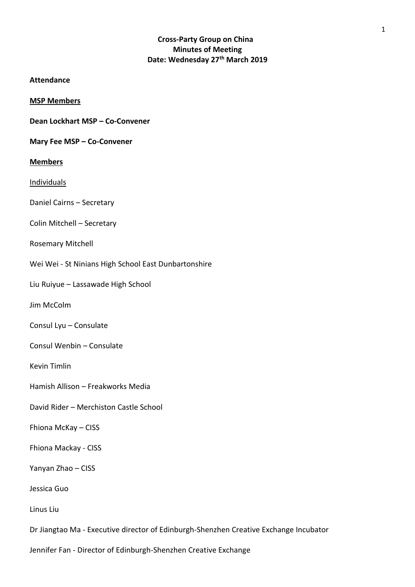# **Cross-Party Group on China Minutes of Meeting Date: Wednesday 27th March 2019**

## **Attendance**

**MSP Members**

**Dean Lockhart MSP – Co-Convener** 

## **Mary Fee MSP – Co-Convener**

**Members**

Individuals

Daniel Cairns – Secretary

Colin Mitchell – Secretary

Rosemary Mitchell

Wei Wei - St Ninians High School East Dunbartonshire

Liu Ruiyue – Lassawade High School

Jim McColm

Consul Lyu – Consulate

Consul Wenbin – Consulate

Kevin Timlin

Hamish Allison – Freakworks Media

David Rider – Merchiston Castle School

Fhiona McKay – CISS

Fhiona Mackay - CISS

Yanyan Zhao – CISS

Jessica Guo

Linus Liu

Dr Jiangtao Ma - Executive director of Edinburgh-Shenzhen Creative Exchange Incubator

Jennifer Fan - Director of Edinburgh-Shenzhen Creative Exchange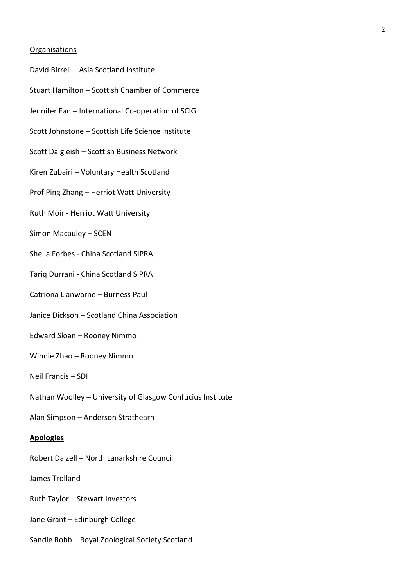### **Organisations**

- David Birrell Asia Scotland Institute
- Stuart Hamilton Scottish Chamber of Commerce
- Jennifer Fan International Co-operation of SCIG
- Scott Johnstone Scottish Life Science Institute
- Scott Dalgleish Scottish Business Network
- Kiren Zubairi Voluntary Health Scotland
- Prof Ping Zhang Herriot Watt University
- Ruth Moir Herriot Watt University
- Simon Macauley SCEN
- Sheila Forbes China Scotland SIPRA
- Tariq Durrani China Scotland SIPRA
- Catriona Llanwarne Burness Paul
- Janice Dickson Scotland China Association
- Edward Sloan Rooney Nimmo
- Winnie Zhao Rooney Nimmo
- Neil Francis SDI
- Nathan Woolley University of Glasgow Confucius Institute
- Alan Simpson Anderson Strathearn

### **Apologies**

- Robert Dalzell North Lanarkshire Council
- James Trolland
- Ruth Taylor Stewart Investors
- Jane Grant Edinburgh College
- Sandie Robb Royal Zoological Society Scotland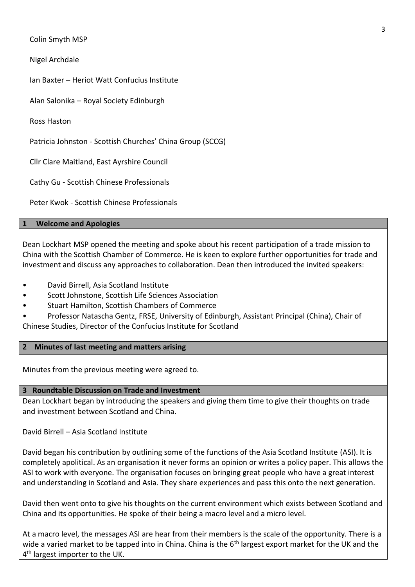Colin Smyth MSP

Nigel Archdale

Ian Baxter – Heriot Watt Confucius Institute

Alan Salonika – Royal Society Edinburgh

Ross Haston

Patricia Johnston - Scottish Churches' China Group (SCCG)

Cllr Clare Maitland, East Ayrshire Council

Cathy Gu - Scottish Chinese Professionals

Peter Kwok - Scottish Chinese Professionals

## **1 Welcome and Apologies**

Dean Lockhart MSP opened the meeting and spoke about his recent participation of a trade mission to China with the Scottish Chamber of Commerce. He is keen to explore further opportunities for trade and investment and discuss any approaches to collaboration. Dean then introduced the invited speakers:

- David Birrell, Asia Scotland Institute
- Scott Johnstone, Scottish Life Sciences Association
- Stuart Hamilton, Scottish Chambers of Commerce
- Professor Natascha Gentz, FRSE, University of Edinburgh, Assistant Principal (China), Chair of Chinese Studies, Director of the Confucius Institute for Scotland

# **2 Minutes of last meeting and matters arising**

Minutes from the previous meeting were agreed to.

# **3 Roundtable Discussion on Trade and Investment**

Dean Lockhart began by introducing the speakers and giving them time to give their thoughts on trade and investment between Scotland and China.

David Birrell – Asia Scotland Institute

David began his contribution by outlining some of the functions of the Asia Scotland Institute (ASI). It is completely apolitical. As an organisation it never forms an opinion or writes a policy paper. This allows the ASI to work with everyone. The organisation focuses on bringing great people who have a great interest and understanding in Scotland and Asia. They share experiences and pass this onto the next generation.

David then went onto to give his thoughts on the current environment which exists between Scotland and China and its opportunities. He spoke of their being a macro level and a micro level.

At a macro level, the messages ASI are hear from their members is the scale of the opportunity. There is a wide a varied market to be tapped into in China. China is the  $6<sup>th</sup>$  largest export market for the UK and the 4<sup>th</sup> largest importer to the UK.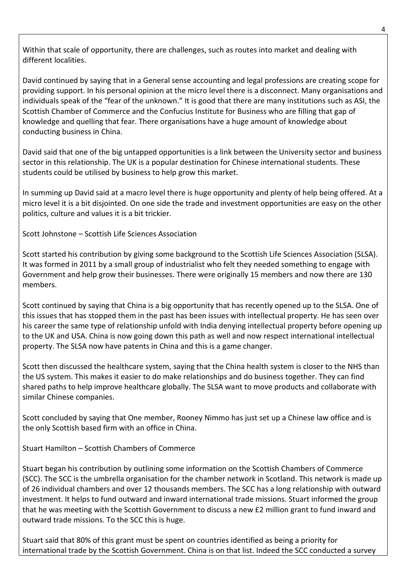Within that scale of opportunity, there are challenges, such as routes into market and dealing with different localities.

David continued by saying that in a General sense accounting and legal professions are creating scope for providing support. In his personal opinion at the micro level there is a disconnect. Many organisations and individuals speak of the "fear of the unknown." It is good that there are many institutions such as ASI, the Scottish Chamber of Commerce and the Confucius Institute for Business who are filling that gap of knowledge and quelling that fear. There organisations have a huge amount of knowledge about conducting business in China.

David said that one of the big untapped opportunities is a link between the University sector and business sector in this relationship. The UK is a popular destination for Chinese international students. These students could be utilised by business to help grow this market.

In summing up David said at a macro level there is huge opportunity and plenty of help being offered. At a micro level it is a bit disjointed. On one side the trade and investment opportunities are easy on the other politics, culture and values it is a bit trickier.

Scott Johnstone – Scottish Life Sciences Association

Scott started his contribution by giving some background to the Scottish Life Sciences Association (SLSA). It was formed in 2011 by a small group of industrialist who felt they needed something to engage with Government and help grow their businesses. There were originally 15 members and now there are 130 members.

Scott continued by saying that China is a big opportunity that has recently opened up to the SLSA. One of this issues that has stopped them in the past has been issues with intellectual property. He has seen over his career the same type of relationship unfold with India denying intellectual property before opening up to the UK and USA. China is now going down this path as well and now respect international intellectual property. The SLSA now have patents in China and this is a game changer.

Scott then discussed the healthcare system, saying that the China health system is closer to the NHS than the US system. This makes it easier to do make relationships and do business together. They can find shared paths to help improve healthcare globally. The SLSA want to move products and collaborate with similar Chinese companies.

Scott concluded by saying that One member, Rooney Nimmo has just set up a Chinese law office and is the only Scottish based firm with an office in China.

Stuart Hamilton – Scottish Chambers of Commerce

Stuart began his contribution by outlining some information on the Scottish Chambers of Commerce (SCC). The SCC is the umbrella organisation for the chamber network in Scotland. This network is made up of 26 individual chambers and over 12 thousands members. The SCC has a long relationship with outward investment. It helps to fund outward and inward international trade missions. Stuart informed the group that he was meeting with the Scottish Government to discuss a new £2 million grant to fund inward and outward trade missions. To the SCC this is huge.

Stuart said that 80% of this grant must be spent on countries identified as being a priority for international trade by the Scottish Government. China is on that list. Indeed the SCC conducted a survey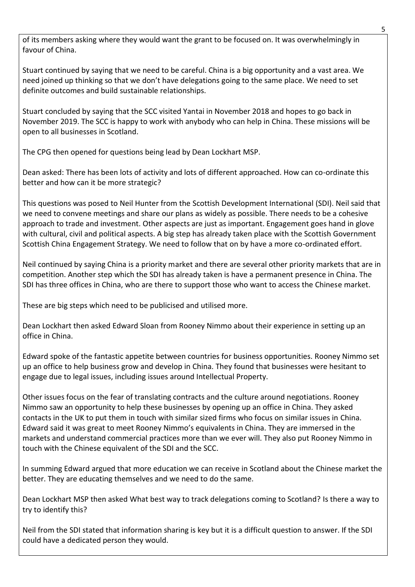of its members asking where they would want the grant to be focused on. It was overwhelmingly in favour of China.

Stuart continued by saying that we need to be careful. China is a big opportunity and a vast area. We need joined up thinking so that we don't have delegations going to the same place. We need to set definite outcomes and build sustainable relationships.

Stuart concluded by saying that the SCC visited Yantai in November 2018 and hopes to go back in November 2019. The SCC is happy to work with anybody who can help in China. These missions will be open to all businesses in Scotland.

The CPG then opened for questions being lead by Dean Lockhart MSP.

Dean asked: There has been lots of activity and lots of different approached. How can co-ordinate this better and how can it be more strategic?

This questions was posed to Neil Hunter from the Scottish Development International (SDI). Neil said that we need to convene meetings and share our plans as widely as possible. There needs to be a cohesive approach to trade and investment. Other aspects are just as important. Engagement goes hand in glove with cultural, civil and political aspects. A big step has already taken place with the Scottish Government Scottish China Engagement Strategy. We need to follow that on by have a more co-ordinated effort.

Neil continued by saying China is a priority market and there are several other priority markets that are in competition. Another step which the SDI has already taken is have a permanent presence in China. The SDI has three offices in China, who are there to support those who want to access the Chinese market.

These are big steps which need to be publicised and utilised more.

Dean Lockhart then asked Edward Sloan from Rooney Nimmo about their experience in setting up an office in China.

Edward spoke of the fantastic appetite between countries for business opportunities. Rooney Nimmo set up an office to help business grow and develop in China. They found that businesses were hesitant to engage due to legal issues, including issues around Intellectual Property.

Other issues focus on the fear of translating contracts and the culture around negotiations. Rooney Nimmo saw an opportunity to help these businesses by opening up an office in China. They asked contacts in the UK to put them in touch with similar sized firms who focus on similar issues in China. Edward said it was great to meet Rooney Nimmo's equivalents in China. They are immersed in the markets and understand commercial practices more than we ever will. They also put Rooney Nimmo in touch with the Chinese equivalent of the SDI and the SCC.

In summing Edward argued that more education we can receive in Scotland about the Chinese market the better. They are educating themselves and we need to do the same.

Dean Lockhart MSP then asked What best way to track delegations coming to Scotland? Is there a way to try to identify this?

Neil from the SDI stated that information sharing is key but it is a difficult question to answer. If the SDI could have a dedicated person they would.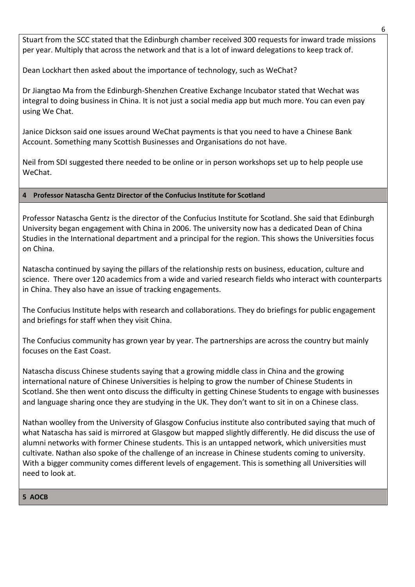Stuart from the SCC stated that the Edinburgh chamber received 300 requests for inward trade missions per year. Multiply that across the network and that is a lot of inward delegations to keep track of.

Dean Lockhart then asked about the importance of technology, such as WeChat?

Dr Jiangtao Ma from the Edinburgh-Shenzhen Creative Exchange Incubator stated that Wechat was integral to doing business in China. It is not just a social media app but much more. You can even pay using We Chat.

Janice Dickson said one issues around WeChat payments is that you need to have a Chinese Bank Account. Something many Scottish Businesses and Organisations do not have.

Neil from SDI suggested there needed to be online or in person workshops set up to help people use WeChat.

# **4 Professor Natascha Gentz Director of the Confucius Institute for Scotland**

Professor Natascha Gentz is the director of the Confucius Institute for Scotland. She said that Edinburgh University began engagement with China in 2006. The university now has a dedicated Dean of China Studies in the International department and a principal for the region. This shows the Universities focus on China.

Natascha continued by saying the pillars of the relationship rests on business, education, culture and science. There over 120 academics from a wide and varied research fields who interact with counterparts in China. They also have an issue of tracking engagements.

The Confucius Institute helps with research and collaborations. They do briefings for public engagement and briefings for staff when they visit China.

The Confucius community has grown year by year. The partnerships are across the country but mainly focuses on the East Coast.

Natascha discuss Chinese students saying that a growing middle class in China and the growing international nature of Chinese Universities is helping to grow the number of Chinese Students in Scotland. She then went onto discuss the difficulty in getting Chinese Students to engage with businesses and language sharing once they are studying in the UK. They don't want to sit in on a Chinese class.

Nathan woolley from the University of Glasgow Confucius institute also contributed saying that much of what Natascha has said is mirrored at Glasgow but mapped slightly differently. He did discuss the use of alumni networks with former Chinese students. This is an untapped network, which universities must cultivate. Nathan also spoke of the challenge of an increase in Chinese students coming to university. With a bigger community comes different levels of engagement. This is something all Universities will need to look at.

## **5 AOCB**